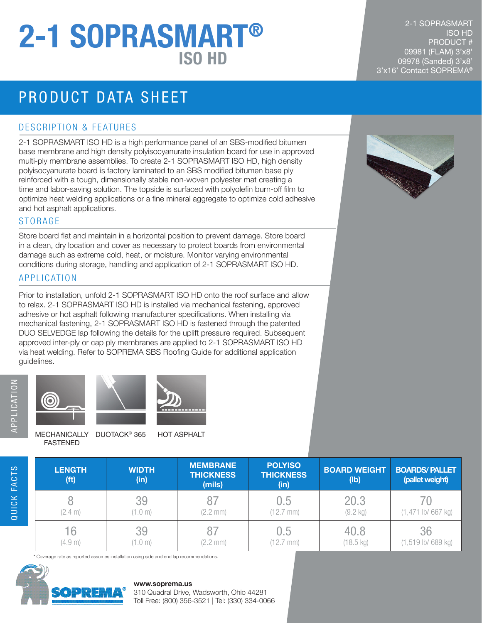# ISO HD 2-1 SOPRASMART®

## PRODUCT DATA SHEET

#### DESCRIPTION & FEATURES

2-1 SOPRASMART ISO HD is a high performance panel of an SBS-modified bitumen base membrane and high density polyisocyanurate insulation board for use in approved multi-ply membrane assemblies. To create 2-1 SOPRASMART ISO HD, high density polyisocyanurate board is factory laminated to an SBS modified bitumen base ply reinforced with a tough, dimensionally stable non-woven polyester mat creating a time and labor-saving solution. The topside is surfaced with polyolefin burn-off film to optimize heat welding applications or a fine mineral aggregate to optimize cold adhesive and hot asphalt applications.

#### STORAGE

Store board flat and maintain in a horizontal position to prevent damage. Store board in a clean, dry location and cover as necessary to protect boards from environmental damage such as extreme cold, heat, or moisture. Monitor varying environmental conditions during storage, handling and application of 2-1 SOPRASMART ISO HD.

#### APPLICATION

Prior to installation, unfold 2-1 SOPRASMART ISO HD onto the roof surface and allow to relax. 2-1 SOPRASMART ISO HD is installed via mechanical fastening, approved adhesive or hot asphalt following manufacturer specifications. When installing via mechanical fastening, 2-1 SOPRASMART ISO HD is fastened through the patented DUO SELVEDGE lap following the details for the uplift pressure required. Subsequent approved inter-ply or cap ply membranes are applied to 2-1 SOPRASMART ISO HD via heat welding. Refer to SOPREMA SBS Roofing Guide for additional application guidelines.

QUICK FACTS





MECHANICALLY DUOTACK<sup>®</sup> 365 HOT ASPHALT FASTENED

| <b>LENGTH</b><br>(f <sup>t</sup> ) | <b>WIDTH</b><br>(in) | <b>MEMBRANE</b><br><b>THICKNESS</b><br>(mils) | <b>POLYISO</b><br><b>THICKNESS</b><br>(in) | <b>BOARD WEIGHT</b><br>(lb) | <b>BOARDS/PALLET</b><br>(pallet weight) |
|------------------------------------|----------------------|-----------------------------------------------|--------------------------------------------|-----------------------------|-----------------------------------------|
| (2.4 m)                            | 39<br>$.0 \text{ m}$ | $(2.2$ mm $)$                                 | 0.5<br>$(12.7$ mm)                         | 20.3<br>$(9.2 \text{ kg})$  | $(1,471$ lb/ 667 kg)                    |
| 16<br>(4.9 m)                      | 39<br>$.0 \text{ m}$ | (2.2 mm)                                      | 0.5<br>mm)                                 | 40.8<br>$(18.5 \text{ kg})$ | 36<br>$(1,519$ lb/ 689 kg)              |

Coverage rate as reported assumes installation using side and end lap recommendations.



#### **www.soprema.us**

310 Quadral Drive, Wadsworth, Ohio 44281 Toll Free: (800) 356-3521 | Tel: (330) 334-0066

2-1 SOPRASMART ISO HD PRODUCT # 09981 (FLAM) 3'x8' 09978 (Sanded) 3'x8' 3'x16' Contact SOPREMA®